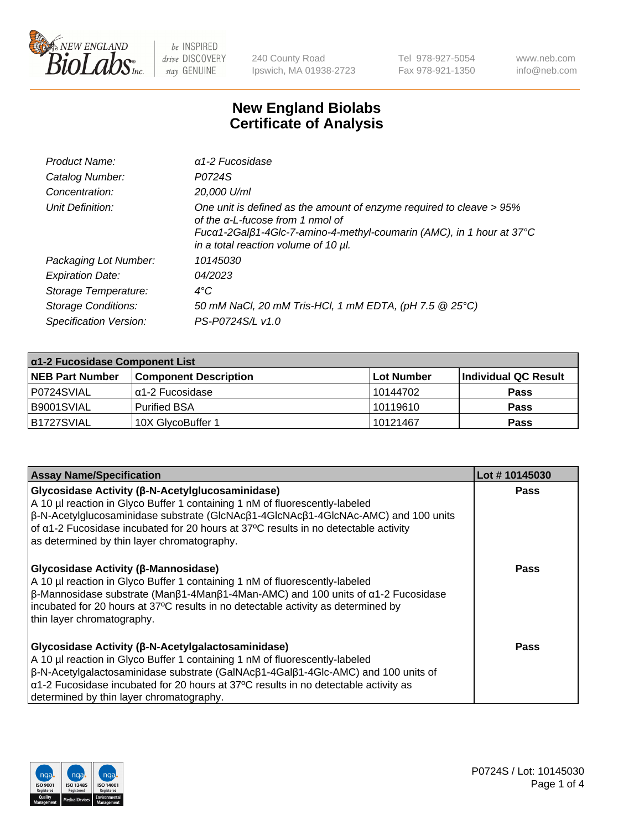

240 County Road Ipswich, MA 01938-2723 Tel 978-927-5054 Fax 978-921-1350 www.neb.com info@neb.com

## **New England Biolabs Certificate of Analysis**

| Product Name:              | $\alpha$ 1-2 Fucosidase                                                                                                                                                                                                  |
|----------------------------|--------------------------------------------------------------------------------------------------------------------------------------------------------------------------------------------------------------------------|
| Catalog Number:            | P0724S                                                                                                                                                                                                                   |
| Concentration:             | 20,000 U/ml                                                                                                                                                                                                              |
| Unit Definition:           | One unit is defined as the amount of enzyme required to cleave > 95%<br>of the a-L-fucose from 1 nmol of<br>Fucα1-2Galβ1-4Glc-7-amino-4-methyl-coumarin (AMC), in 1 hour at 37°C<br>in a total reaction volume of 10 µl. |
| Packaging Lot Number:      | 10145030                                                                                                                                                                                                                 |
| <b>Expiration Date:</b>    | 04/2023                                                                                                                                                                                                                  |
| Storage Temperature:       | $4^{\circ}$ C                                                                                                                                                                                                            |
| <b>Storage Conditions:</b> | 50 mM NaCl, 20 mM Tris-HCl, 1 mM EDTA, (pH 7.5 @ 25°C)                                                                                                                                                                   |
| Specification Version:     | PS-P0724S/L v1.0                                                                                                                                                                                                         |

| $\alpha$ 1-2 Fucosidase Component List |                              |                   |                      |  |
|----------------------------------------|------------------------------|-------------------|----------------------|--|
| <b>NEB Part Number</b>                 | <b>Component Description</b> | <b>Lot Number</b> | Individual QC Result |  |
| P0724SVIAL                             | 'α1-2 Fucosidase             | 10144702          | <b>Pass</b>          |  |
| B9001SVIAL                             | l Purified BSA               | 10119610          | <b>Pass</b>          |  |
| B1727SVIAL                             | 10X GlycoBuffer 1            | 10121467          | <b>Pass</b>          |  |

| <b>Assay Name/Specification</b>                                                                                                                                                                                                                                                                                                                                                           | Lot #10145030 |
|-------------------------------------------------------------------------------------------------------------------------------------------------------------------------------------------------------------------------------------------------------------------------------------------------------------------------------------------------------------------------------------------|---------------|
| <b>Glycosidase Activity (β-N-Acetylglucosaminidase)</b><br>A 10 µl reaction in Glyco Buffer 1 containing 1 nM of fluorescently-labeled<br>$\beta$ -N-Acetylglucosaminidase substrate (GlcNAc $\beta$ 1-4GlcNAc $\beta$ 1-4GlcNAc-AMC) and 100 units<br>of a1-2 Fucosidase incubated for 20 hours at 37°C results in no detectable activity<br>as determined by thin layer chromatography. | <b>Pass</b>   |
| <b>Glycosidase Activity (β-Mannosidase)</b><br>A 10 µl reaction in Glyco Buffer 1 containing 1 nM of fluorescently-labeled<br>$\beta$ -Mannosidase substrate (Man $\beta$ 1-4Man $\beta$ 1-4Man-AMC) and 100 units of $\alpha$ 1-2 Fucosidase<br>incubated for 20 hours at 37°C results in no detectable activity as determined by<br>thin layer chromatography.                          | Pass          |
| Glycosidase Activity (β-N-Acetylgalactosaminidase)<br>A 10 µl reaction in Glyco Buffer 1 containing 1 nM of fluorescently-labeled<br>$\beta$ -N-Acetylgalactosaminidase substrate (GalNAc $\beta$ 1-4Gal $\beta$ 1-4Glc-AMC) and 100 units of<br>$\alpha$ 1-2 Fucosidase incubated for 20 hours at 37°C results in no detectable activity as<br>determined by thin layer chromatography.  | <b>Pass</b>   |

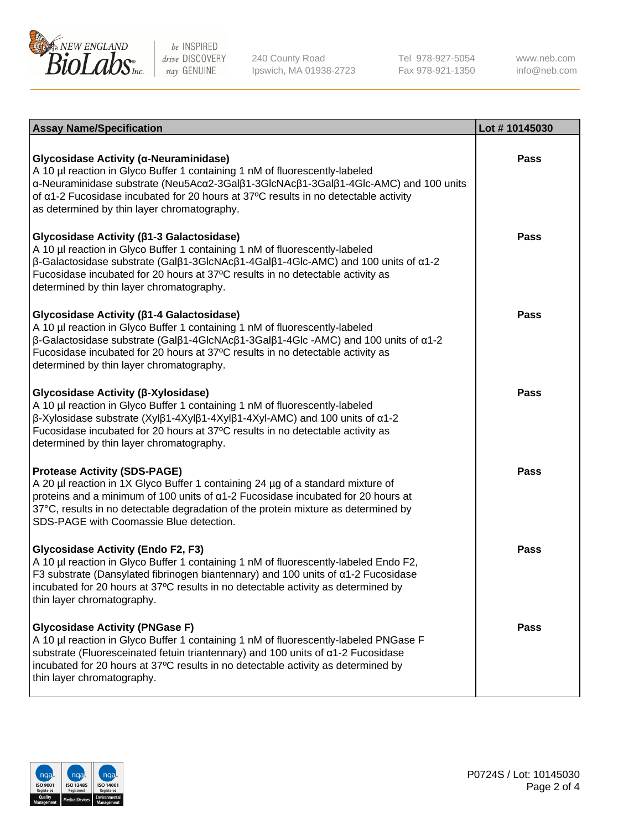

240 County Road Ipswich, MA 01938-2723 Tel 978-927-5054 Fax 978-921-1350

www.neb.com info@neb.com

| <b>Assay Name/Specification</b>                                                                                                                                                                                                                                                                                                                                                     | Lot #10145030 |
|-------------------------------------------------------------------------------------------------------------------------------------------------------------------------------------------------------------------------------------------------------------------------------------------------------------------------------------------------------------------------------------|---------------|
| Glycosidase Activity (α-Neuraminidase)<br>A 10 µl reaction in Glyco Buffer 1 containing 1 nM of fluorescently-labeled<br>α-Neuraminidase substrate (Neu5Acα2-3Galβ1-3GlcNAcβ1-3Galβ1-4Glc-AMC) and 100 units<br>of $\alpha$ 1-2 Fucosidase incubated for 20 hours at 37°C results in no detectable activity<br>as determined by thin layer chromatography.                          | Pass          |
| Glycosidase Activity (β1-3 Galactosidase)<br>A 10 µl reaction in Glyco Buffer 1 containing 1 nM of fluorescently-labeled<br>$\beta$ -Galactosidase substrate (Gal $\beta$ 1-3GlcNAc $\beta$ 1-4Gal $\beta$ 1-4Glc-AMC) and 100 units of $\alpha$ 1-2<br>Fucosidase incubated for 20 hours at 37°C results in no detectable activity as<br>determined by thin layer chromatography.  | <b>Pass</b>   |
| Glycosidase Activity (β1-4 Galactosidase)<br>A 10 µl reaction in Glyco Buffer 1 containing 1 nM of fluorescently-labeled<br>$\beta$ -Galactosidase substrate (Gal $\beta$ 1-4GlcNAc $\beta$ 1-3Gal $\beta$ 1-4Glc -AMC) and 100 units of $\alpha$ 1-2<br>Fucosidase incubated for 20 hours at 37°C results in no detectable activity as<br>determined by thin layer chromatography. | <b>Pass</b>   |
| Glycosidase Activity (β-Xylosidase)<br>A 10 µl reaction in Glyco Buffer 1 containing 1 nM of fluorescently-labeled<br>$\beta$ -Xylosidase substrate (Xylβ1-4Xylβ1-4Xylβ1-4Xyl-AMC) and 100 units of $\alpha$ 1-2<br>Fucosidase incubated for 20 hours at 37°C results in no detectable activity as<br>determined by thin layer chromatography.                                      | <b>Pass</b>   |
| <b>Protease Activity (SDS-PAGE)</b><br>A 20 µl reaction in 1X Glyco Buffer 1 containing 24 µg of a standard mixture of<br>proteins and a minimum of 100 units of $\alpha$ 1-2 Fucosidase incubated for 20 hours at<br>37°C, results in no detectable degradation of the protein mixture as determined by<br>SDS-PAGE with Coomassie Blue detection.                                 | <b>Pass</b>   |
| <b>Glycosidase Activity (Endo F2, F3)</b><br>A 10 µl reaction in Glyco Buffer 1 containing 1 nM of fluorescently-labeled Endo F2,<br>F3 substrate (Dansylated fibrinogen biantennary) and 100 units of $\alpha$ 1-2 Fucosidase<br>incubated for 20 hours at 37°C results in no detectable activity as determined by<br>thin layer chromatography.                                   | Pass          |
| <b>Glycosidase Activity (PNGase F)</b><br>A 10 µl reaction in Glyco Buffer 1 containing 1 nM of fluorescently-labeled PNGase F<br>substrate (Fluoresceinated fetuin triantennary) and 100 units of $\alpha$ 1-2 Fucosidase<br>incubated for 20 hours at 37°C results in no detectable activity as determined by<br>thin layer chromatography.                                       | <b>Pass</b>   |

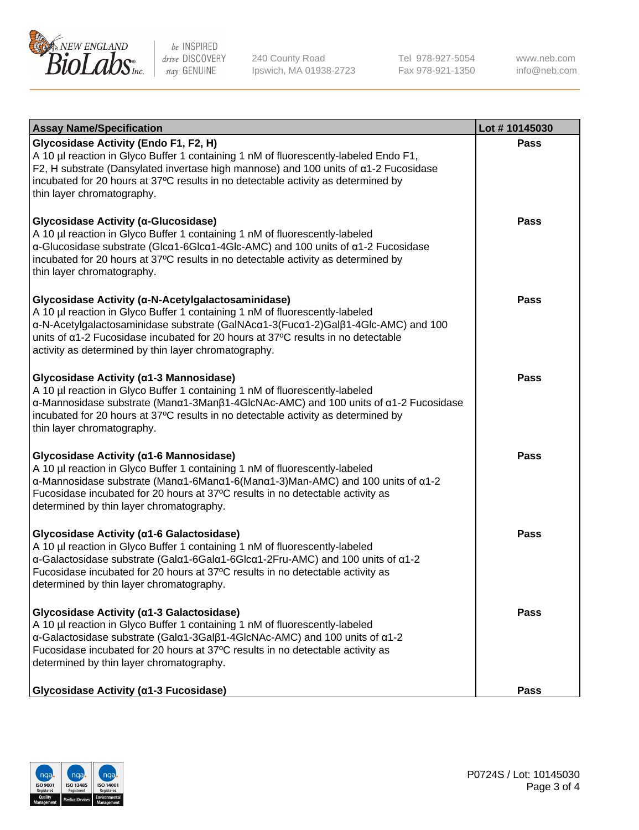

240 County Road Ipswich, MA 01938-2723 Tel 978-927-5054 Fax 978-921-1350

www.neb.com info@neb.com

| <b>Assay Name/Specification</b>                                                                                                                                                                                                                                                                                                                                                   | Lot #10145030 |
|-----------------------------------------------------------------------------------------------------------------------------------------------------------------------------------------------------------------------------------------------------------------------------------------------------------------------------------------------------------------------------------|---------------|
| <b>Glycosidase Activity (Endo F1, F2, H)</b><br>A 10 µl reaction in Glyco Buffer 1 containing 1 nM of fluorescently-labeled Endo F1,<br>F2, H substrate (Dansylated invertase high mannose) and 100 units of a1-2 Fucosidase<br>incubated for 20 hours at 37°C results in no detectable activity as determined by<br>thin layer chromatography.                                   | <b>Pass</b>   |
| Glycosidase Activity (α-Glucosidase)<br>A 10 µl reaction in Glyco Buffer 1 containing 1 nM of fluorescently-labeled<br>α-Glucosidase substrate (Glcα1-6Glcα1-4Glc-AMC) and 100 units of α1-2 Fucosidase<br>incubated for 20 hours at 37°C results in no detectable activity as determined by<br>thin layer chromatography.                                                        | Pass          |
| Glycosidase Activity (α-N-Acetylgalactosaminidase)<br>A 10 µl reaction in Glyco Buffer 1 containing 1 nM of fluorescently-labeled<br>α-N-Acetylgalactosaminidase substrate (GalNAcα1-3(Fucα1-2)Galβ1-4Glc-AMC) and 100<br>units of a1-2 Fucosidase incubated for 20 hours at 37°C results in no detectable<br>activity as determined by thin layer chromatography.                | <b>Pass</b>   |
| Glycosidase Activity (α1-3 Mannosidase)<br>A 10 µl reaction in Glyco Buffer 1 containing 1 nM of fluorescently-labeled<br>α-Mannosidase substrate (Μanα1-3Μanβ1-4GlcNAc-AMC) and 100 units of α1-2 Fucosidase<br>incubated for 20 hours at 37°C results in no detectable activity as determined by<br>thin layer chromatography.                                                  | <b>Pass</b>   |
| Glycosidase Activity (α1-6 Mannosidase)<br>A 10 µl reaction in Glyco Buffer 1 containing 1 nM of fluorescently-labeled<br>$\alpha$ -Mannosidase substrate (Man $\alpha$ 1-6Man $\alpha$ 1-6(Man $\alpha$ 1-3)Man-AMC) and 100 units of $\alpha$ 1-2<br>Fucosidase incubated for 20 hours at 37°C results in no detectable activity as<br>determined by thin layer chromatography. | <b>Pass</b>   |
| Glycosidase Activity (α1-6 Galactosidase)<br>A 10 µl reaction in Glyco Buffer 1 containing 1 nM of fluorescently-labeled<br>α-Galactosidase substrate (Galα1-6Galα1-6Glcα1-2Fru-AMC) and 100 units of α1-2<br>Fucosidase incubated for 20 hours at 37°C results in no detectable activity as<br>determined by thin layer chromatography.                                          | <b>Pass</b>   |
| Glycosidase Activity (a1-3 Galactosidase)<br>A 10 µl reaction in Glyco Buffer 1 containing 1 nM of fluorescently-labeled<br>α-Galactosidase substrate (Galα1-3Galβ1-4GlcNAc-AMC) and 100 units of α1-2<br>Fucosidase incubated for 20 hours at 37°C results in no detectable activity as<br>determined by thin layer chromatography.                                              | <b>Pass</b>   |
| Glycosidase Activity (α1-3 Fucosidase)                                                                                                                                                                                                                                                                                                                                            | Pass          |